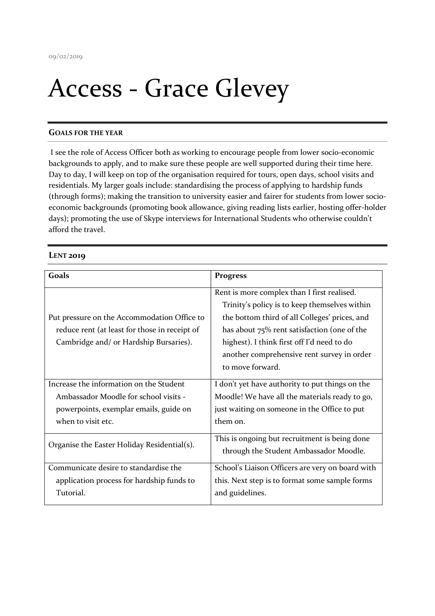## Access - Grace Glevey

## GOALS FOR THE YEAR

 I see the role of Access Officer both as working to encourage people from lower socio-economic backgrounds to apply, and to make sure these people are well supported during their time here. Day to day, I will keep on top of the organisation required for tours, open days, school visits and residentials. My larger goals include: standardising the process of applying to hardship funds (through forms); making the transition to university easier and fairer for students from lower socioeconomic backgrounds (promoting book allowance, giving reading lists earlier, hosting offer-holder days); promoting the use of Skype interviews for International Students who otherwise couldn't afford the travel.

## **LENT 2019**

| Goals                                         | <b>Progress</b>                                  |
|-----------------------------------------------|--------------------------------------------------|
|                                               | Rent is more complex than I first realised.      |
|                                               | Trinity's policy is to keep themselves within    |
| Put pressure on the Accommodation Office to   | the bottom third of all Colleges' prices, and    |
| reduce rent (at least for those in receipt of | has about $75\%$ rent satisfaction (one of the   |
| Cambridge and/ or Hardship Bursaries).        | highest). I think first off I'd need to do       |
|                                               | another comprehensive rent survey in order       |
|                                               | to move forward.                                 |
| Increase the information on the Student       | I don't yet have authority to put things on the  |
| Ambassador Moodle for school visits -         | Moodle! We have all the materials ready to go,   |
| powerpoints, exemplar emails, guide on        | just waiting on someone in the Office to put     |
| when to visit etc.                            | them on.                                         |
| Organise the Easter Holiday Residential(s).   | This is ongoing but recruitment is being done    |
|                                               | through the Student Ambassador Moodle.           |
| Communicate desire to standardise the         | School's Liaison Officers are very on board with |
| application process for hardship funds to     | this. Next step is to format some sample forms   |
| Tutorial.                                     | and guidelines.                                  |
|                                               |                                                  |